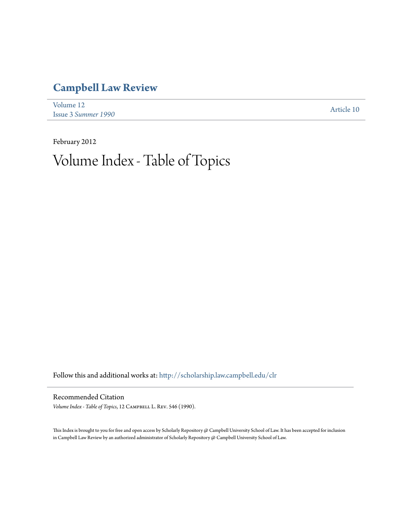## **[Campbell Law Review](http://scholarship.law.campbell.edu/clr?utm_source=scholarship.law.campbell.edu%2Fclr%2Fvol12%2Fiss3%2F10&utm_medium=PDF&utm_campaign=PDFCoverPages)**

| Volume 12                  | Article 10 |
|----------------------------|------------|
| <b>Issue 3 Summer 1990</b> |            |

February 2012 Volume Index - Table of Topics

Follow this and additional works at: [http://scholarship.law.campbell.edu/clr](http://scholarship.law.campbell.edu/clr?utm_source=scholarship.law.campbell.edu%2Fclr%2Fvol12%2Fiss3%2F10&utm_medium=PDF&utm_campaign=PDFCoverPages)

## Recommended Citation

Volume Index - Table of Topics, 12 CAMPBELL L. REV. 546 (1990).

This Index is brought to you for free and open access by Scholarly Repository @ Campbell University School of Law. It has been accepted for inclusion in Campbell Law Review by an authorized administrator of Scholarly Repository @ Campbell University School of Law.